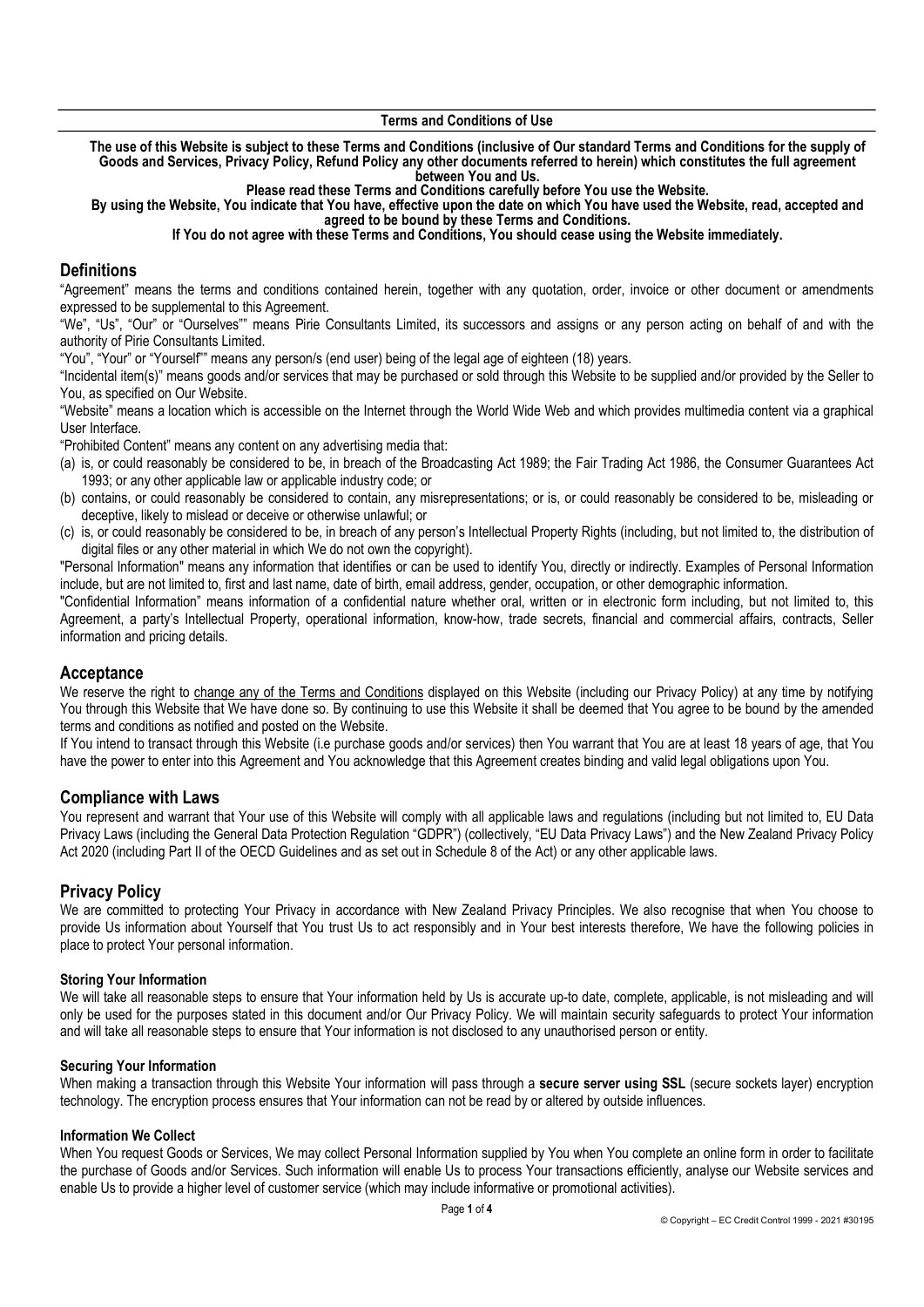The use of this Website is subject to these Terms and Conditions (inclusive of Our standard Terms and Conditions for the supply of Goods and Services, Privacy Policy, Refund Policy any other documents referred to herein) which constitutes the full agreement between You and Us.

Please read these Terms and Conditions carefully before You use the Website.

By using the Website, You indicate that You have, effective upon the date on which You have used the Website, read, accepted and agreed to be bound by these Terms and Conditions.

If You do not agree with these Terms and Conditions, You should cease using the Website immediately.

## **Definitions**

"Agreement" means the terms and conditions contained herein, together with any quotation, order, invoice or other document or amendments expressed to be supplemental to this Agreement.

"We", "Us", "Our" or "Ourselves"" means Pirie Consultants Limited, its successors and assigns or any person acting on behalf of and with the authority of Pirie Consultants Limited.

"You", "Your" or "Yourself"" means any person/s (end user) being of the legal age of eighteen (18) years.

"Incidental item(s)" means goods and/or services that may be purchased or sold through this Website to be supplied and/or provided by the Seller to You, as specified on Our Website.

"Website" means a location which is accessible on the Internet through the World Wide Web and which provides multimedia content via a graphical User Interface.

"Prohibited Content" means any content on any advertising media that:

- (a) is, or could reasonably be considered to be, in breach of the Broadcasting Act 1989; the Fair Trading Act 1986, the Consumer Guarantees Act 1993; or any other applicable law or applicable industry code; or
- (b) contains, or could reasonably be considered to contain, any misrepresentations; or is, or could reasonably be considered to be, misleading or deceptive, likely to mislead or deceive or otherwise unlawful; or
- (c) is, or could reasonably be considered to be, in breach of any person's Intellectual Property Rights (including, but not limited to, the distribution of digital files or any other material in which We do not own the copyright).

"Personal Information" means any information that identifies or can be used to identify You, directly or indirectly. Examples of Personal Information include, but are not limited to, first and last name, date of birth, email address, gender, occupation, or other demographic information.

"Confidential Information" means information of a confidential nature whether oral, written or in electronic form including, but not limited to, this Agreement, a party's Intellectual Property, operational information, know-how, trade secrets, financial and commercial affairs, contracts, Seller information and pricing details.

# **Acceptance**

We reserve the right to change any of the Terms and Conditions displayed on this Website (including our Privacy Policy) at any time by notifying You through this Website that We have done so. By continuing to use this Website it shall be deemed that You agree to be bound by the amended terms and conditions as notified and posted on the Website.

If You intend to transact through this Website (i.e purchase goods and/or services) then You warrant that You are at least 18 years of age, that You have the power to enter into this Agreement and You acknowledge that this Agreement creates binding and valid legal obligations upon You.

## Compliance with Laws

You represent and warrant that Your use of this Website will comply with all applicable laws and regulations (including but not limited to, EU Data Privacy Laws (including the General Data Protection Regulation "GDPR") (collectively, "EU Data Privacy Laws") and the New Zealand Privacy Policy Act 2020 (including Part II of the OECD Guidelines and as set out in Schedule 8 of the Act) or any other applicable laws.

# Privacy Policy

We are committed to protecting Your Privacy in accordance with New Zealand Privacy Principles. We also recognise that when You choose to provide Us information about Yourself that You trust Us to act responsibly and in Your best interests therefore, We have the following policies in place to protect Your personal information.

## Storing Your Information

We will take all reasonable steps to ensure that Your information held by Us is accurate up-to date, complete, applicable, is not misleading and will only be used for the purposes stated in this document and/or Our Privacy Policy. We will maintain security safeguards to protect Your information and will take all reasonable steps to ensure that Your information is not disclosed to any unauthorised person or entity.

## Securing Your Information

When making a transaction through this Website Your information will pass through a secure server using SSL (secure sockets layer) encryption technology. The encryption process ensures that Your information can not be read by or altered by outside influences.

## Information We Collect

When You request Goods or Services. We may collect Personal Information supplied by You when You complete an online form in order to facilitate the purchase of Goods and/or Services. Such information will enable Us to process Your transactions efficiently, analyse our Website services and enable Us to provide a higher level of customer service (which may include informative or promotional activities).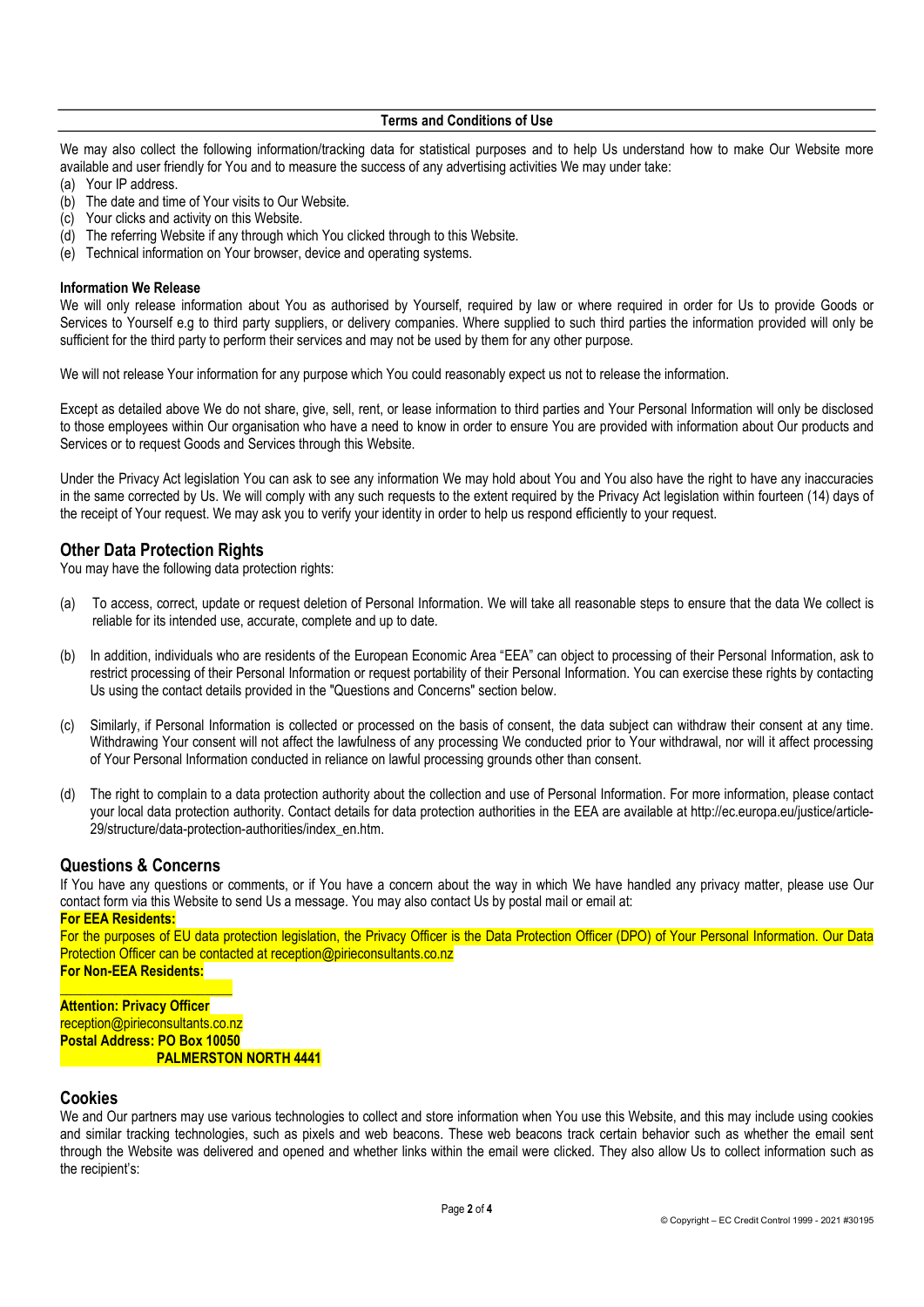We may also collect the following information/tracking data for statistical purposes and to help Us understand how to make Our Website more available and user friendly for You and to measure the success of any advertising activities We may under take:

- (a) Your IP address.
- (b) The date and time of Your visits to Our Website.
- (c) Your clicks and activity on this Website.
- (d) The referring Website if any through which You clicked through to this Website.
- (e) Technical information on Your browser, device and operating systems.

#### Information We Release

We will only release information about You as authorised by Yourself, required by law or where required in order for Us to provide Goods or Services to Yourself e.g to third party suppliers, or delivery companies. Where supplied to such third parties the information provided will only be sufficient for the third party to perform their services and may not be used by them for any other purpose.

We will not release Your information for any purpose which You could reasonably expect us not to release the information.

Except as detailed above We do not share, give, sell, rent, or lease information to third parties and Your Personal Information will only be disclosed to those employees within Our organisation who have a need to know in order to ensure You are provided with information about Our products and Services or to request Goods and Services through this Website.

Under the Privacy Act legislation You can ask to see any information We may hold about You and You also have the right to have any inaccuracies in the same corrected by Us. We will comply with any such requests to the extent required by the Privacy Act legislation within fourteen (14) days of the receipt of Your request. We may ask you to verify your identity in order to help us respond efficiently to your request.

# Other Data Protection Rights

You may have the following data protection rights:

- (a) To access, correct, update or request deletion of Personal Information. We will take all reasonable steps to ensure that the data We collect is reliable for its intended use, accurate, complete and up to date.
- (b) In addition, individuals who are residents of the European Economic Area "EEA" can object to processing of their Personal Information, ask to restrict processing of their Personal Information or request portability of their Personal Information. You can exercise these rights by contacting Us using the contact details provided in the "Questions and Concerns" section below.
- (c) Similarly, if Personal Information is collected or processed on the basis of consent, the data subject can withdraw their consent at any time. Withdrawing Your consent will not affect the lawfulness of any processing We conducted prior to Your withdrawal, nor will it affect processing of Your Personal Information conducted in reliance on lawful processing grounds other than consent.
- (d) The right to complain to a data protection authority about the collection and use of Personal Information. For more information, please contact your local data protection authority. Contact details for data protection authorities in the EEA are available at http://ec.europa.eu/justice/article-29/structure/data-protection-authorities/index\_en.htm.

# Questions & Concerns

If You have any questions or comments, or if You have a concern about the way in which We have handled any privacy matter, please use Our contact form via this Website to send Us a message. You may also contact Us by postal mail or email at:

#### For EEA Residents:

For the purposes of EU data protection legislation, the Privacy Officer is the Data Protection Officer (DPO) of Your Personal Information. Our Data Protection Officer can be contacted at reception@pirieconsultants.co.nz For Non-EEA Residents:

\_\_\_\_\_\_\_\_\_\_\_\_\_\_\_\_\_\_\_\_\_\_\_\_\_ **Attention: Privacy Officer** reception@pirieconsultants.co.nz Postal Address: PO Box 10050 PALMERSTON NORTH 4441

## Cookies

We and Our partners may use various technologies to collect and store information when You use this Website, and this may include using cookies and similar tracking technologies, such as pixels and web beacons. These web beacons track certain behavior such as whether the email sent through the Website was delivered and opened and whether links within the email were clicked. They also allow Us to collect information such as the recipient's: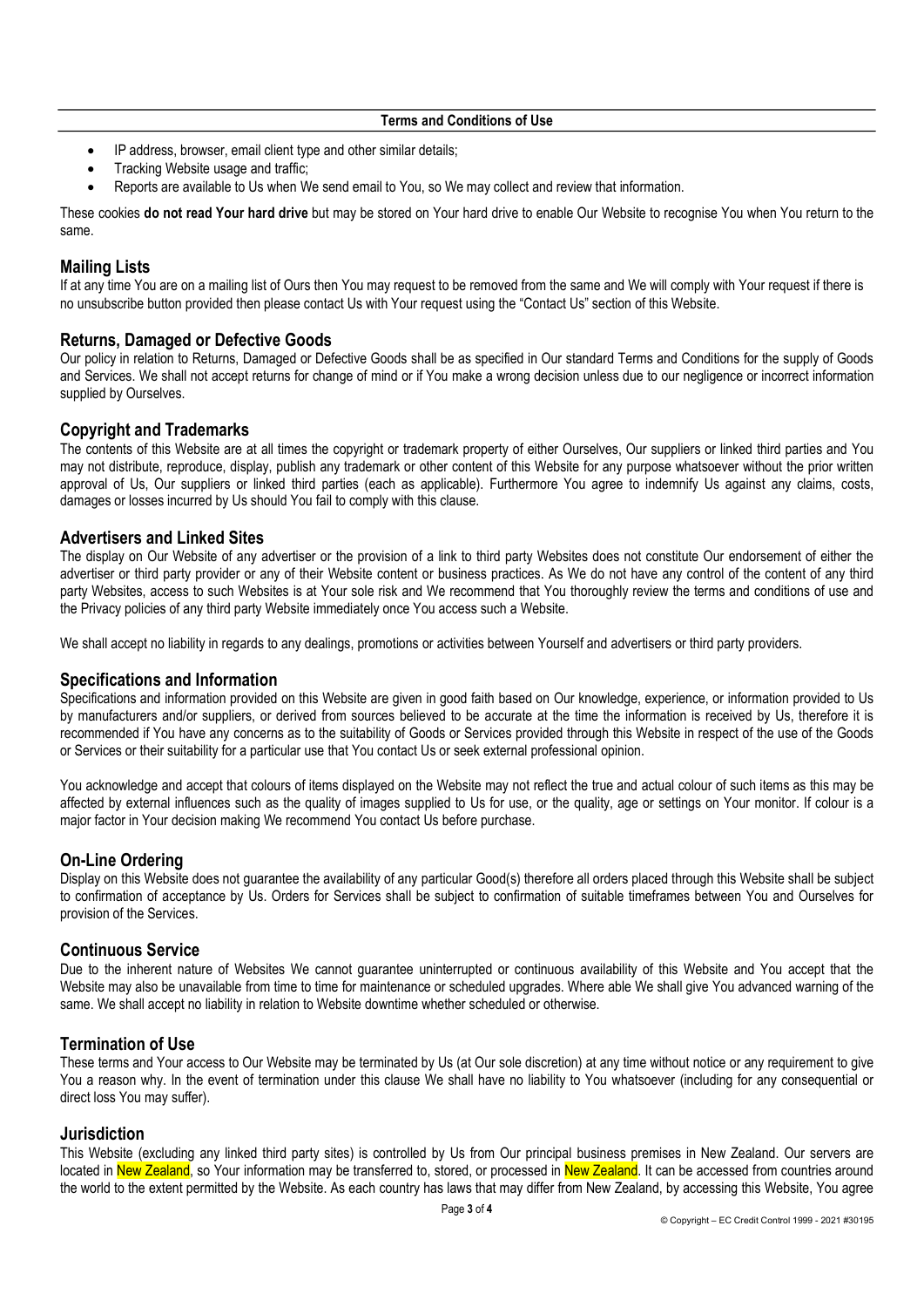- IP address, browser, email client type and other similar details;
- Tracking Website usage and traffic;
- Reports are available to Us when We send email to You, so We may collect and review that information.

These cookies do not read Your hard drive but may be stored on Your hard drive to enable Our Website to recognise You when You return to the same.

## Mailing Lists

If at any time You are on a mailing list of Ours then You may request to be removed from the same and We will comply with Your request if there is no unsubscribe button provided then please contact Us with Your request using the "Contact Us" section of this Website.

## Returns, Damaged or Defective Goods

Our policy in relation to Returns, Damaged or Defective Goods shall be as specified in Our standard Terms and Conditions for the supply of Goods and Services. We shall not accept returns for change of mind or if You make a wrong decision unless due to our negligence or incorrect information supplied by Ourselves.

## Copyright and Trademarks

The contents of this Website are at all times the copyright or trademark property of either Ourselves, Our suppliers or linked third parties and You may not distribute, reproduce, display, publish any trademark or other content of this Website for any purpose whatsoever without the prior written approval of Us, Our suppliers or linked third parties (each as applicable). Furthermore You agree to indemnify Us against any claims, costs, damages or losses incurred by Us should You fail to comply with this clause.

## Advertisers and Linked Sites

The display on Our Website of any advertiser or the provision of a link to third party Websites does not constitute Our endorsement of either the advertiser or third party provider or any of their Website content or business practices. As We do not have any control of the content of any third party Websites, access to such Websites is at Your sole risk and We recommend that You thoroughly review the terms and conditions of use and the Privacy policies of any third party Website immediately once You access such a Website.

We shall accept no liability in regards to any dealings, promotions or activities between Yourself and advertisers or third party providers.

## Specifications and Information

Specifications and information provided on this Website are given in good faith based on Our knowledge, experience, or information provided to Us by manufacturers and/or suppliers, or derived from sources believed to be accurate at the time the information is received by Us, therefore it is recommended if You have any concerns as to the suitability of Goods or Services provided through this Website in respect of the use of the Goods or Services or their suitability for a particular use that You contact Us or seek external professional opinion.

You acknowledge and accept that colours of items displayed on the Website may not reflect the true and actual colour of such items as this may be affected by external influences such as the quality of images supplied to Us for use, or the quality, age or settings on Your monitor. If colour is a major factor in Your decision making We recommend You contact Us before purchase.

## On-Line Ordering

Display on this Website does not guarantee the availability of any particular Good(s) therefore all orders placed through this Website shall be subject to confirmation of acceptance by Us. Orders for Services shall be subject to confirmation of suitable timeframes between You and Ourselves for provision of the Services.

## Continuous Service

Due to the inherent nature of Websites We cannot guarantee uninterrupted or continuous availability of this Website and You accept that the Website may also be unavailable from time to time for maintenance or scheduled upgrades. Where able We shall give You advanced warning of the same. We shall accept no liability in relation to Website downtime whether scheduled or otherwise.

## Termination of Use

These terms and Your access to Our Website may be terminated by Us (at Our sole discretion) at any time without notice or any requirement to give You a reason why. In the event of termination under this clause We shall have no liability to You whatsoever (including for any consequential or direct loss You may suffer).

## **Jurisdiction**

This Website (excluding any linked third party sites) is controlled by Us from Our principal business premises in New Zealand. Our servers are located in New Zealand, so Your information may be transferred to, stored, or processed in New Zealand. It can be accessed from countries around the world to the extent permitted by the Website. As each country has laws that may differ from New Zealand, by accessing this Website, You agree